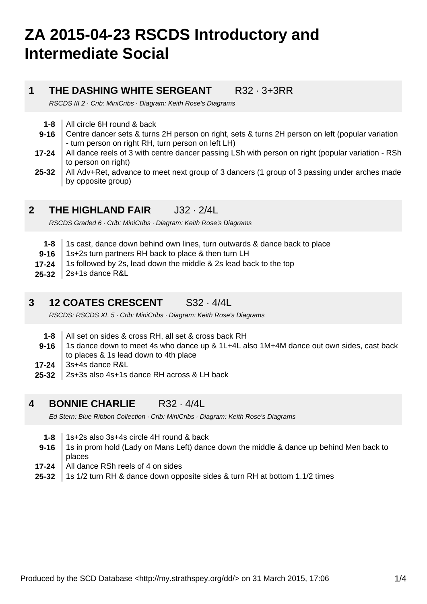# **ZA 2015-04-23 RSCDS Introductory and Intermediate Social**

### **1**

**THE DASHING WHITE SERGEANT** R32 · 3+3RR

RSCDS III 2 · Crib: MiniCribs · Diagram: Keith Rose's Diagrams

- **1-8** All circle 6H round & back
- **9-16** Centre dancer sets & turns 2H person on right, sets & turns 2H person on left (popular variation - turn person on right RH, turn person on left LH)
- **17-24** All dance reels of 3 with centre dancer passing LSh with person on right (popular variation - RSh to person on right)
- **25-32** All Adv+Ret, advance to meet next group of 3 dancers (1 group of 3 passing under arches made by opposite group)

#### **2 THE HIGHLAND FAIR** J32 · 2/4L

RSCDS Graded 6 · Crib: MiniCribs · Diagram: Keith Rose's Diagrams

- **1-8** 1s cast, dance down behind own lines, turn outwards & dance back to place
- **9-16** 1s+2s turn partners RH back to place & then turn LH
- **17-24** 1s followed by 2s, lead down the middle & 2s lead back to the top
- **25-32** 2s+1s dance R&L

### **3 12 COATES CRESCENT** S32 · 4/4L

RSCDS: RSCDS XL 5 · Crib: MiniCribs · Diagram: Keith Rose's Diagrams

- **1-8** All set on sides & cross RH, all set & cross back RH
- **9-16** 1s dance down to meet 4s who dance up & 1L+4L also 1M+4M dance out own sides, cast back to places & 1s lead down to 4th place
- **17-24** 3s+4s dance R&L
- **25-32** 2s+3s also 4s+1s dance RH across & LH back

### **4 BONNIE CHARLIE** R32 · 4/4L

Ed Stern: Blue Ribbon Collection · Crib: MiniCribs · Diagram: Keith Rose's Diagrams

- **1-8** 1s+2s also 3s+4s circle 4H round & back
- **9-16** 1s in prom hold (Lady on Mans Left) dance down the middle & dance up behind Men back to places
- **17-24** All dance RSh reels of 4 on sides
- **25-32** 1s 1/2 turn RH & dance down opposite sides & turn RH at bottom 1.1/2 times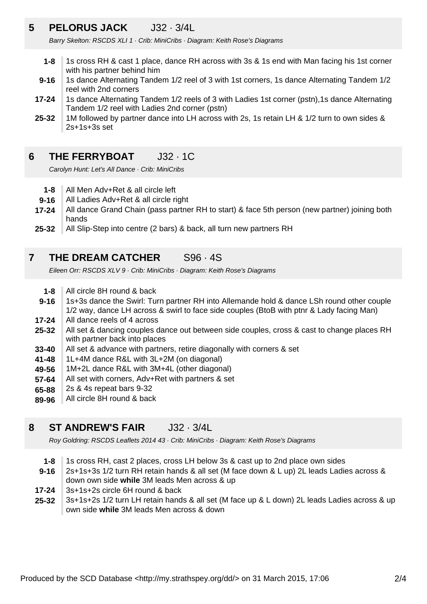### **5 PELORUS JACK** J32 · 3/4L

Barry Skelton: RSCDS XLI 1 · Crib: MiniCribs · Diagram: Keith Rose's Diagrams

- **1-8** 1s cross RH & cast 1 place, dance RH across with 3s & 1s end with Man facing his 1st corner with his partner behind him
- **9-16** 1s dance Alternating Tandem 1/2 reel of 3 with 1st corners, 1s dance Alternating Tandem 1/2 reel with 2nd corners
- **17-24** 1s dance Alternating Tandem 1/2 reels of 3 with Ladies 1st corner (pstn),1s dance Alternating Tandem 1/2 reel with Ladies 2nd corner (pstn)
- **25-32** 1M followed by partner dance into LH across with 2s, 1s retain LH & 1/2 turn to own sides & 2s+1s+3s set

### **6 THE FERRYBOAT** J32 · 1C

Carolyn Hunt: Let's All Dance · Crib: MiniCribs

- **1-8** All Men Adv+Ret & all circle left
- **9-16** All Ladies Adv+Ret & all circle right
- **17-24** All dance Grand Chain (pass partner RH to start) & face 5th person (new partner) joining both hands
- **25-32** All Slip-Step into centre (2 bars) & back, all turn new partners RH

#### **7 THE DREAM CATCHER** S96 · 4S

Eileen Orr: RSCDS XLV 9 · Crib: MiniCribs · Diagram: Keith Rose's Diagrams

- **1-8** All circle 8H round & back
- **9-16** 1s+3s dance the Swirl: Turn partner RH into Allemande hold & dance LSh round other couple 1/2 way, dance LH across & swirl to face side couples (BtoB with ptnr & Lady facing Man)
- **17-24** All dance reels of 4 across
- **25-32** All set & dancing couples dance out between side couples, cross & cast to change places RH with partner back into places
- **33-40** All set & advance with partners, retire diagonally with corners & set
- **41-48** 1L+4M dance R&L with 3L+2M (on diagonal)
- **49-56** 1M+2L dance R&L with 3M+4L (other diagonal)
- **57-64** All set with corners, Adv+Ret with partners & set
- **65-88** 2s & 4s repeat bars 9-32
- **89-96** All circle 8H round & back

### **8 ST ANDREW'S FAIR** J32 · 3/4L

Roy Goldring: RSCDS Leaflets 2014 43 · Crib: MiniCribs · Diagram: Keith Rose's Diagrams

- **1-8** 1s cross RH, cast 2 places, cross LH below 3s & cast up to 2nd place own sides
- **9-16** 2s+1s+3s 1/2 turn RH retain hands & all set (M face down & L up) 2L leads Ladies across & down own side **while** 3M leads Men across & up
- **17-24** 3s+1s+2s circle 6H round & back
- **25-32** 3s+1s+2s 1/2 turn LH retain hands & all set (M face up & L down) 2L leads Ladies across & up own side **while** 3M leads Men across & down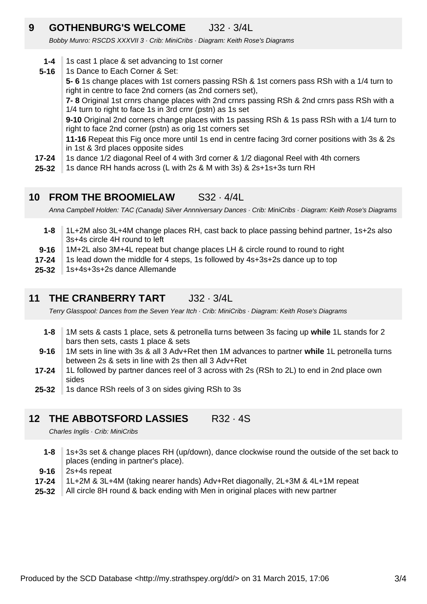### **9 GOTHENBURG'S WELCOME** J32 · 3/4L

Bobby Munro: RSCDS XXXVII 3 · Crib: MiniCribs · Diagram: Keith Rose's Diagrams

- **1-4** 1s cast 1 place & set advancing to 1st corner
- **17-24 5-16** 1s Dance to Each Corner & Set: **5- 6** 1s change places with 1st corners passing RSh & 1st corners pass RSh with a 1/4 turn to right in centre to face 2nd corners (as 2nd corners set), **7- 8** Original 1st crnrs change places with 2nd crnrs passing RSh & 2nd crnrs pass RSh with a 1/4 turn to right to face 1s in 3rd crnr (pstn) as 1s set **9-10** Original 2nd corners change places with 1s passing RSh & 1s pass RSh with a 1/4 turn to right to face 2nd corner (pstn) as orig 1st corners set **11-16** Repeat this Fig once more until 1s end in centre facing 3rd corner positions with 3s & 2s in 1st & 3rd places opposite sides 1s dance 1/2 diagonal Reel of 4 with 3rd corner & 1/2 diagonal Reel with 4th corners
- **25-32** 1s dance RH hands across (L with 2s & M with 3s) & 2s+1s+3s turn RH

#### **10 FROM THE BROOMIELAW** S32 · 4/4L

Anna Campbell Holden: TAC (Canada) Silver Annniversary Dances · Crib: MiniCribs · Diagram: Keith Rose's Diagrams

- **1-8** 1L+2M also 3L+4M change places RH, cast back to place passing behind partner, 1s+2s also 3s+4s circle 4H round to left
- **9-16** 1M+2L also 3M+4L repeat but change places LH & circle round to round to right
- **17-24** 1s lead down the middle for 4 steps, 1s followed by 4s+3s+2s dance up to top
- **25-32** 1s+4s+3s+2s dance Allemande

### **11 THE CRANBERRY TART J32 · 3/4L**

Terry Glasspool: Dances from the Seven Year Itch · Crib: MiniCribs · Diagram: Keith Rose's Diagrams

- **1-8** 1M sets & casts 1 place, sets & petronella turns between 3s facing up **while** 1L stands for 2 bars then sets, casts 1 place & sets
- **9-16** 1M sets in line with 3s & all 3 Adv+Ret then 1M advances to partner **while** 1L petronella turns between 2s & sets in line with 2s then all 3 Adv+Ret
- **17-24** 1L followed by partner dances reel of 3 across with 2s (RSh to 2L) to end in 2nd place own sides
- **25-32** 1s dance RSh reels of 3 on sides giving RSh to 3s

### **12 THE ABBOTSFORD LASSIES** R32 · 4S

Charles Inglis · Crib: MiniCribs

- **1-8** 1s+3s set & change places RH (up/down), dance clockwise round the outside of the set back to places (ending in partner's place).
- **9-16** 2s+4s repeat
- **17-24** 1L+2M & 3L+4M (taking nearer hands) Adv+Ret diagonally, 2L+3M & 4L+1M repeat
- **25-32** All circle 8H round & back ending with Men in original places with new partner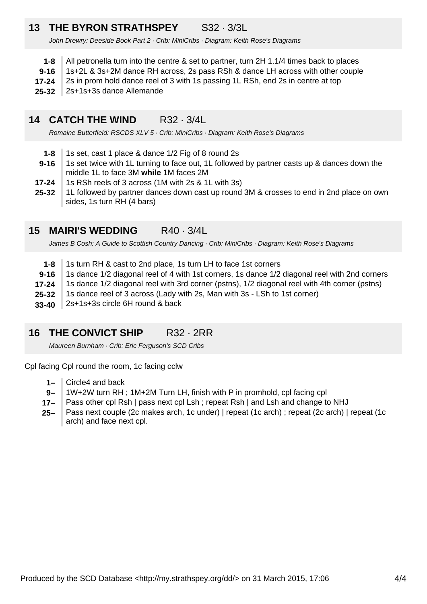### **13 THE BYRON STRATHSPEY** S32 · 3/3L

John Drewry: Deeside Book Part 2 · Crib: MiniCribs · Diagram: Keith Rose's Diagrams

- **1-8** All petronella turn into the centre & set to partner, turn 2H 1.1/4 times back to places
- **9-16** 1s+2L & 3s+2M dance RH across, 2s pass RSh & dance LH across with other couple
- **17-24** 2s in prom hold dance reel of 3 with 1s passing 1L RSh, end 2s in centre at top
- **25-32** 2s+1s+3s dance Allemande

#### **14 CATCH THE WIND** R32 · 3/4L

Romaine Butterfield: RSCDS XLV 5 · Crib: MiniCribs · Diagram: Keith Rose's Diagrams

- **1-8** 1s set, cast 1 place & dance 1/2 Fig of 8 round 2s
- **9-16** 1s set twice with 1L turning to face out, 1L followed by partner casts up & dances down the middle 1L to face 3M **while** 1M faces 2M
- **17-24** 1s RSh reels of 3 across (1M with 2s & 1L with 3s)
- **25-32** 1L followed by partner dances down cast up round 3M & crosses to end in 2nd place on own sides, 1s turn RH (4 bars)

### **15 MAIRI'S WEDDING** R40 · 3/4L

James B Cosh: A Guide to Scottish Country Dancing · Crib: MiniCribs · Diagram: Keith Rose's Diagrams

- **1-8** 1s turn RH & cast to 2nd place, 1s turn LH to face 1st corners
- **9-16** 1s dance 1/2 diagonal reel of 4 with 1st corners, 1s dance 1/2 diagonal reel with 2nd corners
- **17-24** 1s dance 1/2 diagonal reel with 3rd corner (pstns), 1/2 diagonal reel with 4th corner (pstns)
- **25-32** 1s dance reel of 3 across (Lady with 2s, Man with 3s - LSh to 1st corner)
- **33-40** 2s+1s+3s circle 6H round & back

### **16 THE CONVICT SHIP** R32 · 2RR

Maureen Burnham · Crib: Eric Ferguson's SCD Cribs

Cpl facing Cpl round the room, 1c facing cclw

- **1–** Circle4 and back
- **9–** 1W+2W turn RH ; 1M+2M Turn LH, finish with P in promhold, cpl facing cpl
- **17–** Pass other cpl Rsh | pass next cpl Lsh ; repeat Rsh | and Lsh and change to NHJ
- **25–** Pass next couple (2c makes arch, 1c under) | repeat (1c arch) ; repeat (2c arch) | repeat (1c arch) and face next cpl.